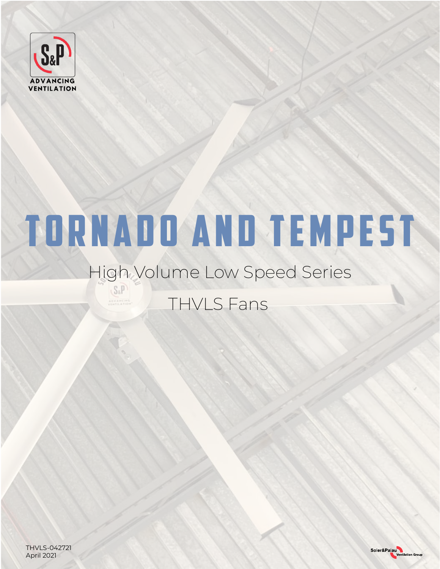

# TORNADO and TEMPEST

### High Volume Low Speed Series THVLS FansOVANCINO

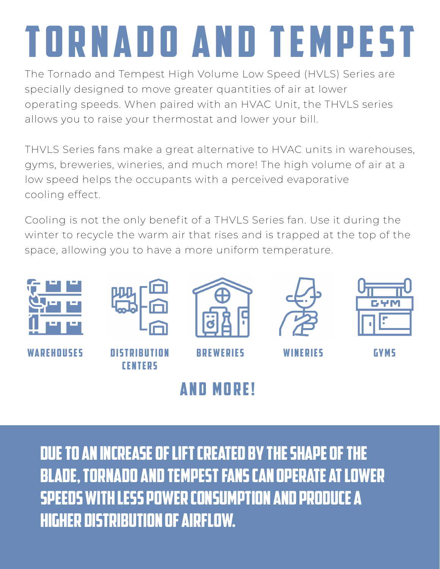# TORNADO and TEMPEST

The Tornado and Tempest High Volume Low Speed (HVLS) Series are specially designed to move greater quantities of air at lower operating speeds. When paired with an HVAC Unit, the THVLS series allows you to raise your thermostat and lower your bill.

THVLS Series fans make a great alternative to HVAC units in warehouses, gyms, breweries, wineries, and much more! The high volume of air at a low speed helps the occupants with a perceived evaporative cooling effect.

Cooling is not the only benefit of a THVLS Series fan. Use it during the winter to recycle the warm air that rises and is trapped at the top of the space, allowing you to have a more uniform temperature.



WAREHOUSES DISTRIRUTION



**CENTERS** 



Breweries wineries Gyms





## **AND MORE!**

Due to an increase of lift created by the shape of the blade, Tornado and Tempest fans can operate at lower speeds with less power consumption and produce a higher distribution of airflow.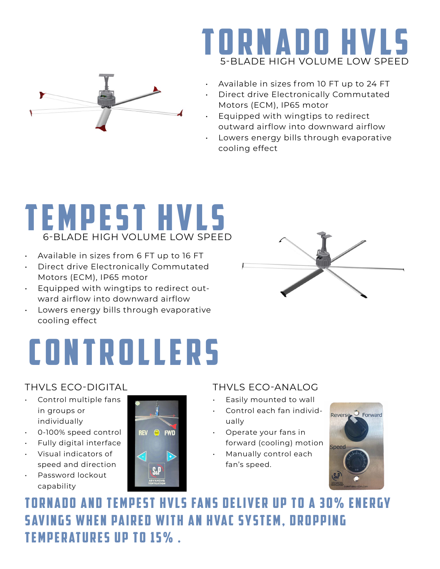



- Available in sizes from 10 FT up to 24 FT
- Direct drive Electronically Commutated Motors (ECM), IP65 motor
- Equipped with wingtips to redirect outward airflow into downward airflow
- Lowers energy bills through evaporative cooling effect

## tempest HVLS BLADE HIGH VOLUME LOW SPEED

- Available in sizes from 6 FT up to 16 FT
- Direct drive Electronically Commutated Motors (ECM), IP65 motor
- Equipped with wingtips to redirect outward airflow into downward airflow
- Lowers energy bills through evaporative cooling effect

## **CONTROLLERS**

#### THVLS ECO-DIGITAL

- Control multiple fans in groups or individually
- 0-100% speed control
- Fully digital interface
- Visual indicators of speed and direction
- Password lockout capability



### THVLS ECO-ANALOG

- Easily mounted to wall
- Control each fan individually
- Operate your fans in forward (cooling) motion
- Manually control each fan's speed.



TORNADO AND TEMPEST HVLS FANS DELIVER UP TO A 30% ENERGY **SAVINGS WHEN PAIRED WITH AN HVAC SYSTEM, DROPPING** TEMPERATURES UP TO 15%.